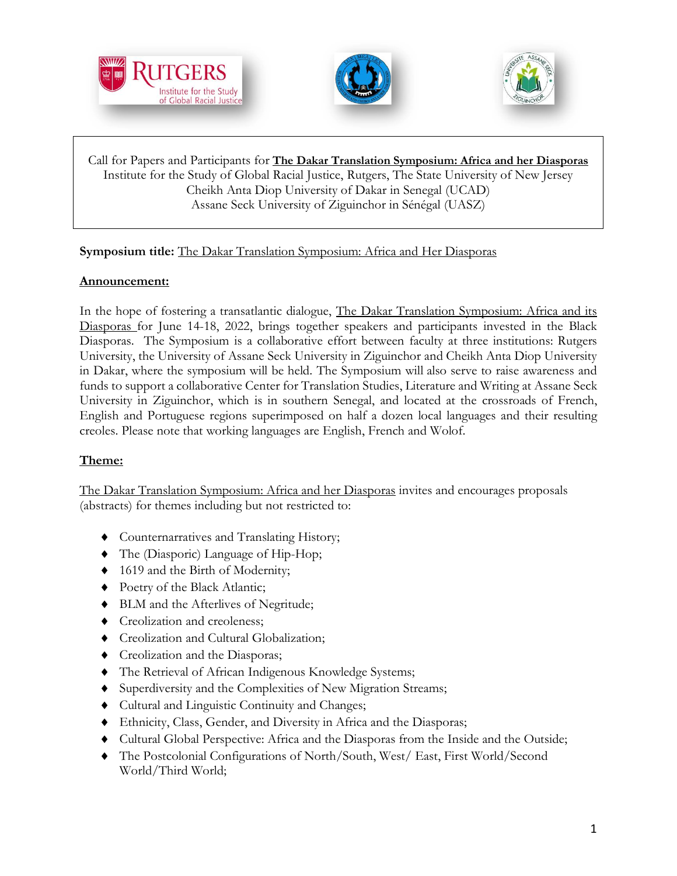





Call for Papers and Participants for **The Dakar Translation Symposium: Africa and her Diasporas** Institute for the Study of Global Racial Justice, Rutgers, The State University of New Jersey [Cheikh Anta Diop University of Dakar](https://www.ucad.sn/) in Senegal (UCAD) Assane Seck University of Ziguinchor in Sénégal (UASZ)

## **Symposium title:** The Dakar Translation Symposium: Africa and Her Diasporas

## **Announcement:**

 $\overline{a}$ 

In the hope of fostering a transatlantic dialogue, The Dakar Translation Symposium: Africa and its Diasporas for June 14-18, 2022, brings together speakers and participants invested in the Black Diasporas. The Symposium is a collaborative effort between faculty at three institutions: Rutgers University, the University of Assane Seck University in Ziguinchor and Cheikh Anta Diop University in Dakar, where the symposium will be held. The Symposium will also serve to raise awareness and funds to support a collaborative Center for Translation Studies, Literature and Writing at Assane Seck University in Ziguinchor, which is in southern Senegal, and located at the crossroads of French, English and Portuguese regions superimposed on half a dozen local languages and their resulting creoles. Please note that working languages are English, French and Wolof.

## **Theme:**

The Dakar Translation Symposium: Africa and her Diasporas invites and encourages proposals (abstracts) for themes including but not restricted to:

- Counternarratives and Translating History;
- The (Diasporic) Language of Hip-Hop;
- ◆ 1619 and the Birth of Modernity;
- ◆ Poetry of the Black Atlantic;
- BLM and the Afterlives of Negritude;
- **Creolization and creoleness;**
- Creolization and Cultural Globalization;
- Creolization and the Diasporas;
- The Retrieval of African Indigenous Knowledge Systems;
- Superdiversity and the Complexities of New Migration Streams;
- Cultural and Linguistic Continuity and Changes;
- Ethnicity, Class, Gender, and Diversity in Africa and the Diasporas;
- Cultural Global Perspective: Africa and the Diasporas from the Inside and the Outside;
- The Postcolonial Configurations of North/South, West/ East, First World/Second World/Third World;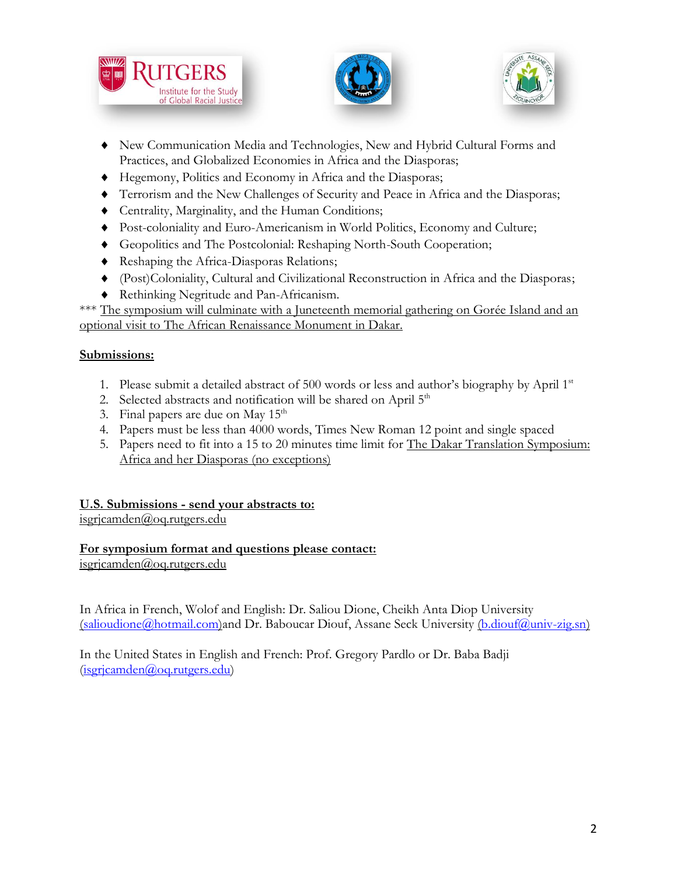





- New Communication Media and Technologies, New and Hybrid Cultural Forms and Practices, and Globalized Economies in Africa and the Diasporas;
- Hegemony, Politics and Economy in Africa and the Diasporas;
- Terrorism and the New Challenges of Security and Peace in Africa and the Diasporas;
- Centrality, Marginality, and the Human Conditions;
- Post-coloniality and Euro-Americanism in World Politics, Economy and Culture;
- Geopolitics and The Postcolonial: Reshaping North-South Cooperation;
- Reshaping the Africa-Diasporas Relations;
- (Post)Coloniality, Cultural and Civilizational Reconstruction in Africa and the Diasporas;
- Rethinking Negritude and Pan-Africanism.

\*\*\* The symposium will culminate with a Juneteenth memorial gathering on Gorée Island and an optional visit to The African Renaissance Monument in Dakar.

## **Submissions:**

- 1. Please submit a detailed abstract of 500 words or less and author's biography by April  $1<sup>st</sup>$
- 2. Selected abstracts and notification will be shared on April 5<sup>th</sup>
- 3. Final papers are due on May  $15<sup>th</sup>$
- 4. Papers must be less than 4000 words, Times New Roman 12 point and single spaced
- 5. Papers need to fit into a 15 to 20 minutes time limit for The Dakar Translation Symposium: Africa and her Diasporas (no exceptions)

## **U.S. Submissions - send your abstracts to:**

[isgrjcamden@oq.rutgers.edu](mailto:isgrjcamden@oq.rutgers.edu)

## **For symposium format and questions please contact:**

[isgrjcamden@oq.rutgers.edu](mailto:isgrjcamden@oq.rutgers.edu)

In Africa in French, Wolof and English: Dr. Saliou Dione, Cheikh Anta Diop University [\(salioudione@hotmail.com\)](mailto:salioudione@hotmail.com)and Dr. Baboucar Diouf, Assane Seck University [\(b.diouf@univ-zig.sn\)](mailto:b.diouf@univ-zig.sn)

In the United States in English and French: Prof. Gregory Pardlo or Dr. Baba Badji [\(isgrjcamden@oq.rutgers.edu\)](mailto:isgrjcamden@oq.rutgers.edu)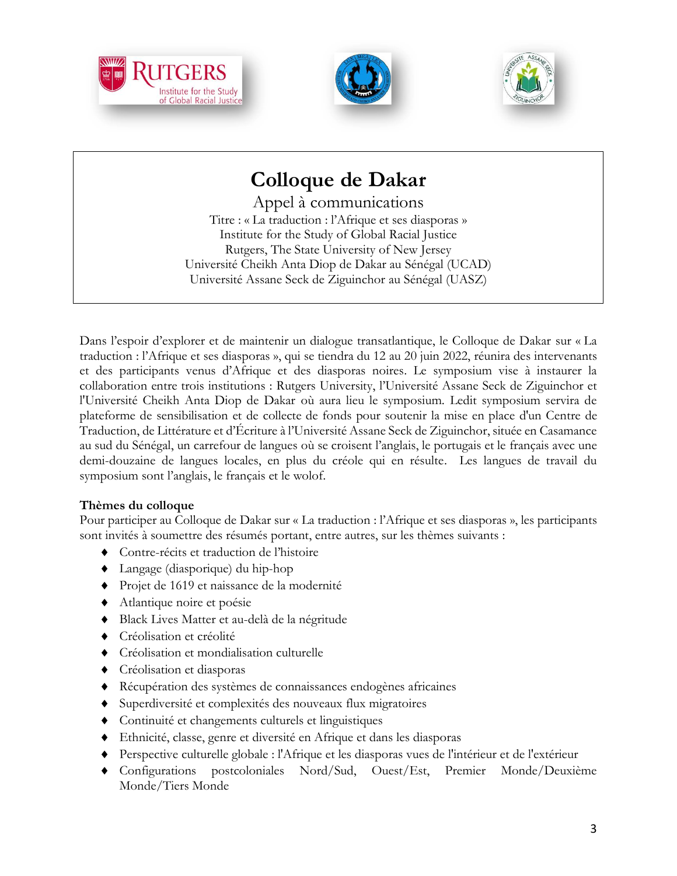





# **Colloque de Dakar**

Appel à communications Titre : « La traduction : l'Afrique et ses diasporas » Institute for the Study of Global Racial Justice Rutgers, The State University of New Jersey Université Cheikh Anta Diop de Dakar au Sénégal (UCAD) Université Assane Seck de Ziguinchor au Sénégal (UASZ)

Dans l'espoir d'explorer et de maintenir un dialogue transatlantique, le Colloque de Dakar sur « La traduction : l'Afrique et ses diasporas », qui se tiendra du 12 au 20 juin 2022, réunira des intervenants et des participants venus d'Afrique et des diasporas noires. Le symposium vise à instaurer la collaboration entre trois institutions : Rutgers University, l'Université Assane Seck de Ziguinchor et l'Université Cheikh Anta Diop de Dakar où aura lieu le symposium. Ledit symposium servira de plateforme de sensibilisation et de collecte de fonds pour soutenir la mise en place d'un Centre de Traduction, de Littérature et d'Écriture à l'Université Assane Seck de Ziguinchor, située en Casamance au sud du Sénégal, un carrefour de langues où se croisent l'anglais, le portugais et le français avec une demi-douzaine de langues locales, en plus du créole qui en résulte. Les langues de travail du symposium sont l'anglais, le français et le wolof.

## **Thèmes du colloque**

Pour participer au Colloque de Dakar sur « La traduction : l'Afrique et ses diasporas », les participants sont invités à soumettre des résumés portant, entre autres, sur les thèmes suivants :

- Contre-récits et traduction de l'histoire
- Langage (diasporique) du hip-hop
- Projet de 1619 et naissance de la modernité
- Atlantique noire et poésie
- Black Lives Matter et au-delà de la négritude
- Créolisation et créolité
- Créolisation et mondialisation culturelle
- Créolisation et diasporas
- Récupération des systèmes de connaissances endogènes africaines
- Superdiversité et complexités des nouveaux flux migratoires
- Continuité et changements culturels et linguistiques
- Ethnicité, classe, genre et diversité en Afrique et dans les diasporas
- Perspective culturelle globale : l'Afrique et les diasporas vues de l'intérieur et de l'extérieur
- Configurations postcoloniales Nord/Sud, Ouest/Est, Premier Monde/Deuxième Monde/Tiers Monde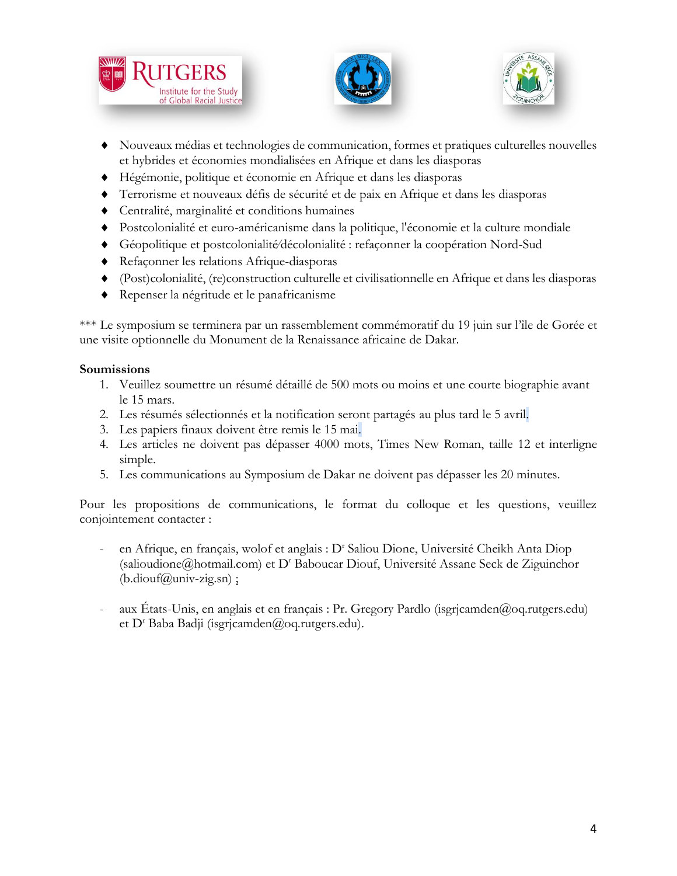





- Nouveaux médias et technologies de communication, formes et pratiques culturelles nouvelles et hybrides et économies mondialisées en Afrique et dans les diasporas
- Hégémonie, politique et économie en Afrique et dans les diasporas
- Terrorisme et nouveaux défis de sécurité et de paix en Afrique et dans les diasporas
- Centralité, marginalité et conditions humaines
- Postcolonialité et euro-américanisme dans la politique, l'économie et la culture mondiale
- Géopolitique et postcolonialité⁄décolonialité : refaçonner la coopération Nord-Sud
- Refaçonner les relations Afrique-diasporas
- (Post)colonialité, (re)construction culturelle et civilisationnelle en Afrique et dans les diasporas
- Repenser la négritude et le panafricanisme

\*\*\* Le symposium se terminera par un rassemblement commémoratif du 19 juin sur l'île de Gorée et une visite optionnelle du Monument de la Renaissance africaine de Dakar.

#### **Soumissions**

- 1. Veuillez soumettre un résumé détaillé de 500 mots ou moins et une courte biographie avant le 15 mars.
- 2. Les résumés sélectionnés et la notification seront partagés au plus tard le 5 avril.
- 3. Les papiers finaux doivent être remis le 15 mai.
- 4. Les articles ne doivent pas dépasser 4000 mots, Times New Roman, taille 12 et interligne simple.
- 5. Les communications au Symposium de Dakar ne doivent pas dépasser les 20 minutes.

Pour les propositions de communications, le format du colloque et les questions, veuillez conjointement contacter :

- en Afrique, en français, wolof et anglais : D' Saliou Dione, Université Cheikh Anta Diop [\(salioudione@hotmail.com\)](mailto:salioudione@hotmail.com) et D<sup>r</sup> Baboucar Diouf, Université Assane Seck de Ziguinchor  $(b.diouf@univ-zig.sn)$ ;
- aux États-Unis, en anglais et en français : Pr. Gregory Pardlo (isgrjcamden@oq.rutgers.edu) et D<sup>r</sup> Baba Badji (isgrjcamden@oq.rutgers.edu).